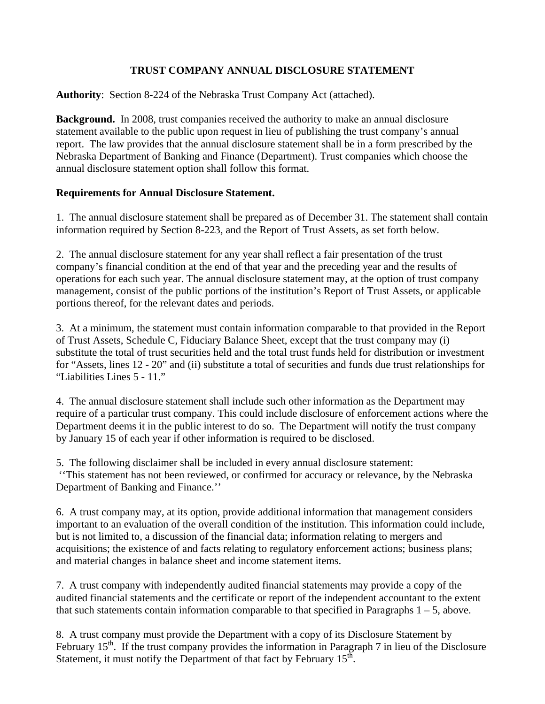## **TRUST COMPANY ANNUAL DISCLOSURE STATEMENT**

**Authority**: Section 8-224 of the Nebraska Trust Company Act (attached).

**Background.** In 2008, trust companies received the authority to make an annual disclosure statement available to the public upon request in lieu of publishing the trust company's annual report. The law provides that the annual disclosure statement shall be in a form prescribed by the Nebraska Department of Banking and Finance (Department). Trust companies which choose the annual disclosure statement option shall follow this format.

## **Requirements for Annual Disclosure Statement.**

1. The annual disclosure statement shall be prepared as of December 31. The statement shall contain information required by Section 8-223, and the Report of Trust Assets, as set forth below.

2. The annual disclosure statement for any year shall reflect a fair presentation of the trust company's financial condition at the end of that year and the preceding year and the results of operations for each such year. The annual disclosure statement may, at the option of trust company management, consist of the public portions of the institution's Report of Trust Assets, or applicable portions thereof, for the relevant dates and periods.

3. At a minimum, the statement must contain information comparable to that provided in the Report of Trust Assets, Schedule C, Fiduciary Balance Sheet, except that the trust company may (i) substitute the total of trust securities held and the total trust funds held for distribution or investment for "Assets, lines 12 - 20" and (ii) substitute a total of securities and funds due trust relationships for "Liabilities Lines 5 - 11."

4. The annual disclosure statement shall include such other information as the Department may require of a particular trust company. This could include disclosure of enforcement actions where the Department deems it in the public interest to do so. The Department will notify the trust company by January 15 of each year if other information is required to be disclosed.

5. The following disclaimer shall be included in every annual disclosure statement: ''This statement has not been reviewed, or confirmed for accuracy or relevance, by the Nebraska Department of Banking and Finance.''

6. A trust company may, at its option, provide additional information that management considers important to an evaluation of the overall condition of the institution. This information could include, but is not limited to, a discussion of the financial data; information relating to mergers and acquisitions; the existence of and facts relating to regulatory enforcement actions; business plans; and material changes in balance sheet and income statement items.

7. A trust company with independently audited financial statements may provide a copy of the audited financial statements and the certificate or report of the independent accountant to the extent that such statements contain information comparable to that specified in Paragraphs  $1 - 5$ , above.

8. A trust company must provide the Department with a copy of its Disclosure Statement by February  $15<sup>th</sup>$ . If the trust company provides the information in Paragraph 7 in lieu of the Disclosure Statement, it must notify the Department of that fact by February  $15<sup>th</sup>$ .